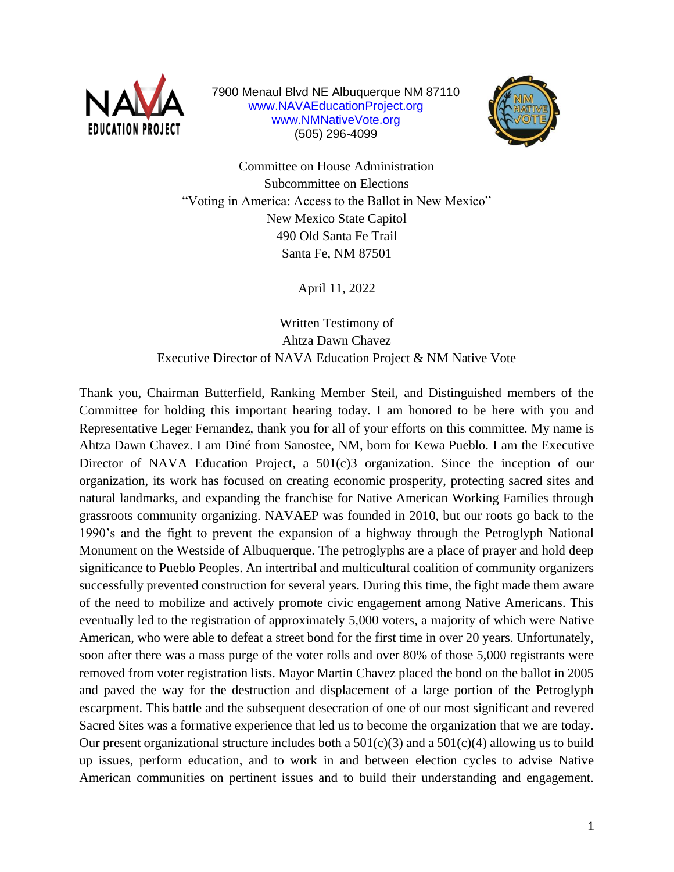

7900 Menaul Blvd NE Albuquerque NM 87110 [www.NAVAEducationProject.org](http://www.navaeducationproject.org/) [www.NMNativeVote.org](http://www.nmnativevote.org/) (505) 296-4099



Committee on House Administration Subcommittee on Elections "Voting in America: Access to the Ballot in New Mexico" New Mexico State Capitol 490 Old Santa Fe Trail Santa Fe, NM 87501

April 11, 2022

Written Testimony of Ahtza Dawn Chavez Executive Director of NAVA Education Project & NM Native Vote

Thank you, Chairman Butterfield, Ranking Member Steil, and Distinguished members of the Committee for holding this important hearing today. I am honored to be here with you and Representative Leger Fernandez, thank you for all of your efforts on this committee. My name is Ahtza Dawn Chavez. I am Diné from Sanostee, NM, born for Kewa Pueblo. I am the Executive Director of NAVA Education Project, a 501(c)3 organization. Since the inception of our organization, its work has focused on creating economic prosperity, protecting sacred sites and natural landmarks, and expanding the franchise for Native American Working Families through grassroots community organizing. NAVAEP was founded in 2010, but our roots go back to the 1990's and the fight to prevent the expansion of a highway through the Petroglyph National Monument on the Westside of Albuquerque. The petroglyphs are a place of prayer and hold deep significance to Pueblo Peoples. An intertribal and multicultural coalition of community organizers successfully prevented construction for several years. During this time, the fight made them aware of the need to mobilize and actively promote civic engagement among Native Americans. This eventually led to the registration of approximately 5,000 voters, a majority of which were Native American, who were able to defeat a street bond for the first time in over 20 years. Unfortunately, soon after there was a mass purge of the voter rolls and over 80% of those 5,000 registrants were removed from voter registration lists. Mayor Martin Chavez placed the bond on the ballot in 2005 and paved the way for the destruction and displacement of a large portion of the Petroglyph escarpment. This battle and the subsequent desecration of one of our most significant and revered Sacred Sites was a formative experience that led us to become the organization that we are today. Our present organizational structure includes both a  $501(c)(3)$  and a  $501(c)(4)$  allowing us to build up issues, perform education, and to work in and between election cycles to advise Native American communities on pertinent issues and to build their understanding and engagement.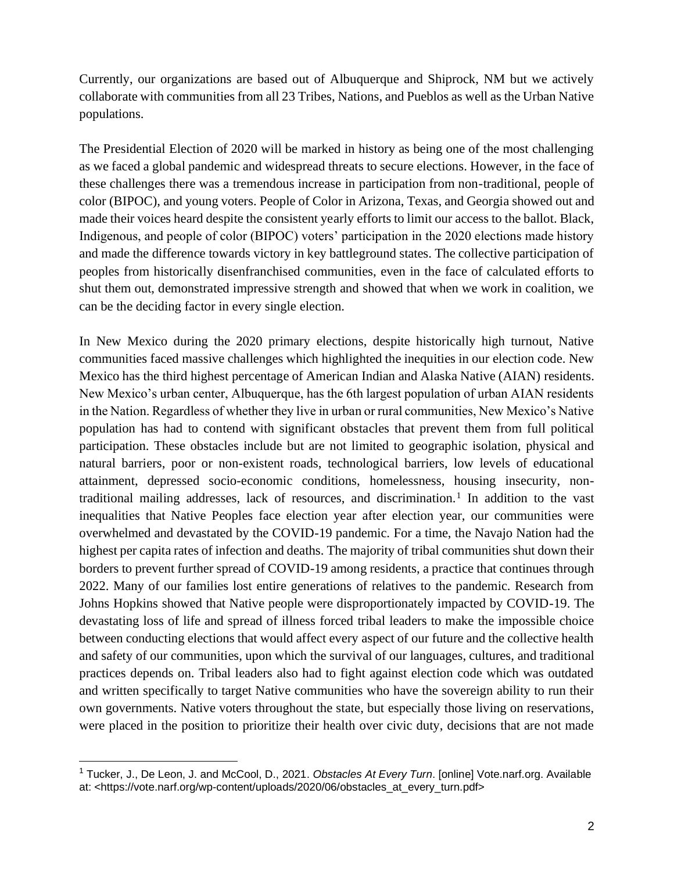Currently, our organizations are based out of Albuquerque and Shiprock, NM but we actively collaborate with communities from all 23 Tribes, Nations, and Pueblos as well as the Urban Native populations.

The Presidential Election of 2020 will be marked in history as being one of the most challenging as we faced a global pandemic and widespread threats to secure elections. However, in the face of these challenges there was a tremendous increase in participation from non-traditional, people of color (BIPOC), and young voters. People of Color in Arizona, Texas, and Georgia showed out and made their voices heard despite the consistent yearly efforts to limit our access to the ballot. Black, Indigenous, and people of color (BIPOC) voters' participation in the 2020 elections made history and made the difference towards victory in key battleground states. The collective participation of peoples from historically disenfranchised communities, even in the face of calculated efforts to shut them out, demonstrated impressive strength and showed that when we work in coalition, we can be the deciding factor in every single election.

In New Mexico during the 2020 primary elections, despite historically high turnout, Native communities faced massive challenges which highlighted the inequities in our election code. New Mexico has the third highest percentage of American Indian and Alaska Native (AIAN) residents. New Mexico's urban center, Albuquerque, has the 6th largest population of urban AIAN residents in the Nation. Regardless of whether they live in urban or rural communities, New Mexico's Native population has had to contend with significant obstacles that prevent them from full political participation. These obstacles include but are not limited to geographic isolation, physical and natural barriers, poor or non-existent roads, technological barriers, low levels of educational attainment, depressed socio-economic conditions, homelessness, housing insecurity, nontraditional mailing addresses, lack of resources, and discrimination.<sup>1</sup> In addition to the vast inequalities that Native Peoples face election year after election year, our communities were overwhelmed and devastated by the COVID-19 pandemic. For a time, the Navajo Nation had the highest per capita rates of infection and deaths. The majority of tribal communities shut down their borders to prevent further spread of COVID-19 among residents, a practice that continues through 2022. Many of our families lost entire generations of relatives to the pandemic. Research from Johns Hopkins showed that Native people were disproportionately impacted by COVID-19. The devastating loss of life and spread of illness forced tribal leaders to make the impossible choice between conducting elections that would affect every aspect of our future and the collective health and safety of our communities, upon which the survival of our languages, cultures, and traditional practices depends on. Tribal leaders also had to fight against election code which was outdated and written specifically to target Native communities who have the sovereign ability to run their own governments. Native voters throughout the state, but especially those living on reservations, were placed in the position to prioritize their health over civic duty, decisions that are not made

<sup>1</sup> Tucker, J., De Leon, J. and McCool, D., 2021. *Obstacles At Every Turn*. [online] Vote.narf.org. Available at: <https://vote.narf.org/wp-content/uploads/2020/06/obstacles\_at\_every\_turn.pdf>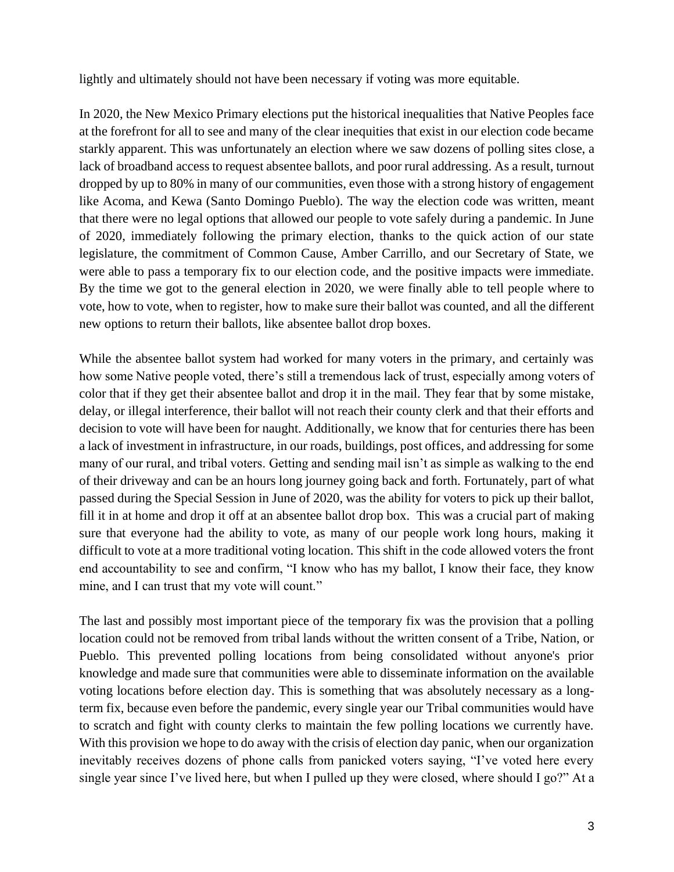lightly and ultimately should not have been necessary if voting was more equitable.

In 2020, the New Mexico Primary elections put the historical inequalities that Native Peoples face at the forefront for all to see and many of the clear inequities that exist in our election code became starkly apparent. This was unfortunately an election where we saw dozens of polling sites close, a lack of broadband access to request absentee ballots, and poor rural addressing. As a result, turnout dropped by up to 80% in many of our communities, even those with a strong history of engagement like Acoma, and Kewa (Santo Domingo Pueblo). The way the election code was written, meant that there were no legal options that allowed our people to vote safely during a pandemic. In June of 2020, immediately following the primary election, thanks to the quick action of our state legislature, the commitment of Common Cause, Amber Carrillo, and our Secretary of State, we were able to pass a temporary fix to our election code, and the positive impacts were immediate. By the time we got to the general election in 2020, we were finally able to tell people where to vote, how to vote, when to register, how to make sure their ballot was counted, and all the different new options to return their ballots, like absentee ballot drop boxes.

While the absentee ballot system had worked for many voters in the primary, and certainly was how some Native people voted, there's still a tremendous lack of trust, especially among voters of color that if they get their absentee ballot and drop it in the mail. They fear that by some mistake, delay, or illegal interference, their ballot will not reach their county clerk and that their efforts and decision to vote will have been for naught. Additionally, we know that for centuries there has been a lack of investment in infrastructure, in our roads, buildings, post offices, and addressing for some many of our rural, and tribal voters. Getting and sending mail isn't as simple as walking to the end of their driveway and can be an hours long journey going back and forth. Fortunately, part of what passed during the Special Session in June of 2020, was the ability for voters to pick up their ballot, fill it in at home and drop it off at an absentee ballot drop box. This was a crucial part of making sure that everyone had the ability to vote, as many of our people work long hours, making it difficult to vote at a more traditional voting location. This shift in the code allowed voters the front end accountability to see and confirm, "I know who has my ballot, I know their face, they know mine, and I can trust that my vote will count."

The last and possibly most important piece of the temporary fix was the provision that a polling location could not be removed from tribal lands without the written consent of a Tribe, Nation, or Pueblo. This prevented polling locations from being consolidated without anyone's prior knowledge and made sure that communities were able to disseminate information on the available voting locations before election day. This is something that was absolutely necessary as a longterm fix, because even before the pandemic, every single year our Tribal communities would have to scratch and fight with county clerks to maintain the few polling locations we currently have. With this provision we hope to do away with the crisis of election day panic, when our organization inevitably receives dozens of phone calls from panicked voters saying, "I've voted here every single year since I've lived here, but when I pulled up they were closed, where should I go?" At a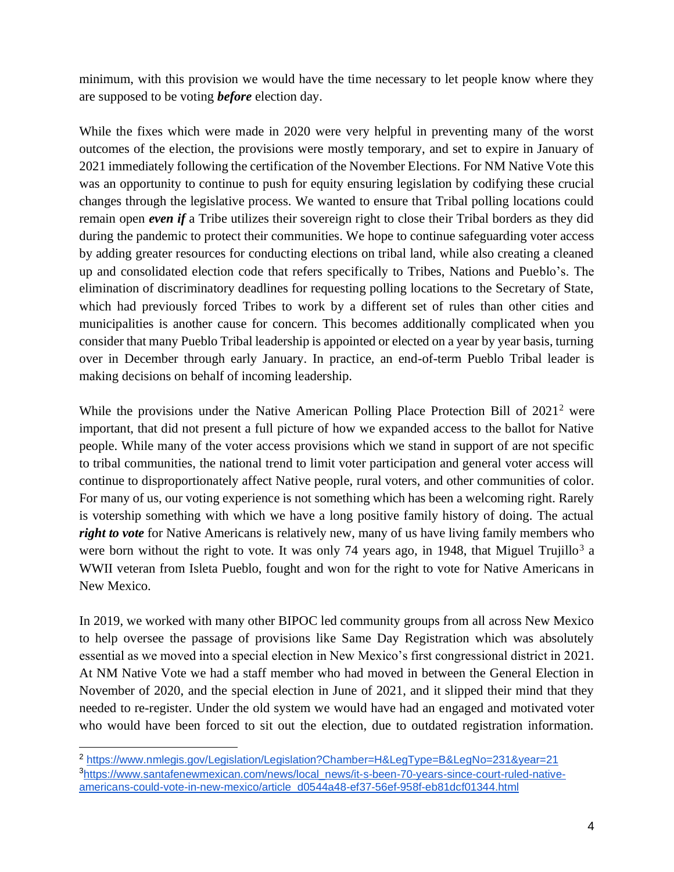minimum, with this provision we would have the time necessary to let people know where they are supposed to be voting *before* election day.

While the fixes which were made in 2020 were very helpful in preventing many of the worst outcomes of the election, the provisions were mostly temporary, and set to expire in January of 2021 immediately following the certification of the November Elections. For NM Native Vote this was an opportunity to continue to push for equity ensuring legislation by codifying these crucial changes through the legislative process. We wanted to ensure that Tribal polling locations could remain open *even if* a Tribe utilizes their sovereign right to close their Tribal borders as they did during the pandemic to protect their communities. We hope to continue safeguarding voter access by adding greater resources for conducting elections on tribal land, while also creating a cleaned up and consolidated election code that refers specifically to Tribes, Nations and Pueblo's. The elimination of discriminatory deadlines for requesting polling locations to the Secretary of State, which had previously forced Tribes to work by a different set of rules than other cities and municipalities is another cause for concern. This becomes additionally complicated when you consider that many Pueblo Tribal leadership is appointed or elected on a year by year basis, turning over in December through early January. In practice, an end-of-term Pueblo Tribal leader is making decisions on behalf of incoming leadership.

While the provisions under the Native American Polling Place Protection Bill of 2021<sup>2</sup> were important, that did not present a full picture of how we expanded access to the ballot for Native people. While many of the voter access provisions which we stand in support of are not specific to tribal communities, the national trend to limit voter participation and general voter access will continue to disproportionately affect Native people, rural voters, and other communities of color. For many of us, our voting experience is not something which has been a welcoming right. Rarely is votership something with which we have a long positive family history of doing. The actual *right to vote* for Native Americans is relatively new, many of us have living family members who were born without the right to vote. It was only 74 years ago, in 1948, that Miguel Trujillo<sup>3</sup> a WWII veteran from Isleta Pueblo, fought and won for the right to vote for Native Americans in New Mexico.

In 2019, we worked with many other BIPOC led community groups from all across New Mexico to help oversee the passage of provisions like Same Day Registration which was absolutely essential as we moved into a special election in New Mexico's first congressional district in 2021. At NM Native Vote we had a staff member who had moved in between the General Election in November of 2020, and the special election in June of 2021, and it slipped their mind that they needed to re-register. Under the old system we would have had an engaged and motivated voter who would have been forced to sit out the election, due to outdated registration information.

<sup>2</sup> <https://www.nmlegis.gov/Legislation/Legislation?Chamber=H&LegType=B&LegNo=231&year=21> <sup>3</sup>[https://www.santafenewmexican.com/news/local\\_news/it-s-been-70-years-since-court-ruled-native](https://www.santafenewmexican.com/news/local_news/it-s-been-70-years-since-court-ruled-native-americans-could-vote-in-new-mexico/article_d0544a48-ef37-56ef-958f-eb81dcf01344.html)[americans-could-vote-in-new-mexico/article\\_d0544a48-ef37-56ef-958f-eb81dcf01344.html](https://www.santafenewmexican.com/news/local_news/it-s-been-70-years-since-court-ruled-native-americans-could-vote-in-new-mexico/article_d0544a48-ef37-56ef-958f-eb81dcf01344.html)